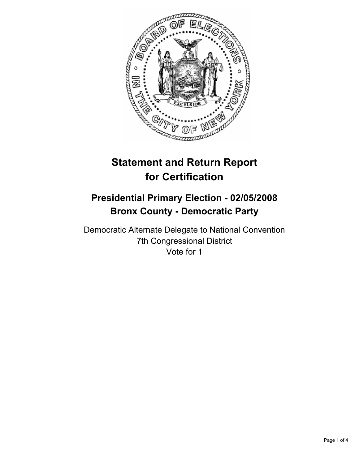

# **Statement and Return Report for Certification**

# **Presidential Primary Election - 02/05/2008 Bronx County - Democratic Party**

Democratic Alternate Delegate to National Convention 7th Congressional District Vote for 1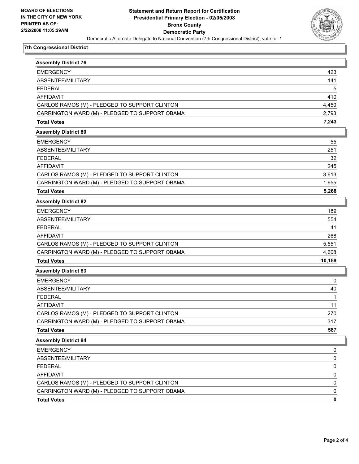

## **7th Congressional District**

| <b>Assembly District 76</b>                    |        |
|------------------------------------------------|--------|
| <b>EMERGENCY</b>                               | 423    |
| ABSENTEE/MILITARY                              | 141    |
| <b>FEDERAL</b>                                 | 5      |
| <b>AFFIDAVIT</b>                               | 410    |
| CARLOS RAMOS (M) - PLEDGED TO SUPPORT CLINTON  | 4,450  |
| CARRINGTON WARD (M) - PLEDGED TO SUPPORT OBAMA | 2,793  |
| <b>Total Votes</b>                             | 7,243  |
| <b>Assembly District 80</b>                    |        |
| <b>EMERGENCY</b>                               | 55     |
| ABSENTEE/MILITARY                              | 251    |
| <b>FEDERAL</b>                                 | 32     |
| <b>AFFIDAVIT</b>                               | 245    |
| CARLOS RAMOS (M) - PLEDGED TO SUPPORT CLINTON  | 3,613  |
| CARRINGTON WARD (M) - PLEDGED TO SUPPORT OBAMA | 1,655  |
| <b>Total Votes</b>                             | 5,268  |
| <b>Assembly District 82</b>                    |        |
| <b>EMERGENCY</b>                               | 189    |
| ABSENTEE/MILITARY                              | 554    |
| <b>FEDERAL</b>                                 | 41     |
| <b>AFFIDAVIT</b>                               | 268    |
| CARLOS RAMOS (M) - PLEDGED TO SUPPORT CLINTON  | 5,551  |
| CARRINGTON WARD (M) - PLEDGED TO SUPPORT OBAMA | 4,608  |
| <b>Total Votes</b>                             | 10,159 |
| <b>Assembly District 83</b>                    |        |
| <b>EMERGENCY</b>                               | 0      |
| ABSENTEE/MILITARY                              | 40     |
| <b>FEDERAL</b>                                 |        |
| <b>AFFIDAVIT</b>                               | 11     |
| CARLOS RAMOS (M) - PLEDGED TO SUPPORT CLINTON  | 270    |
| CARRINGTON WARD (M) - PLEDGED TO SUPPORT OBAMA | 317    |
| <b>Total Votes</b>                             | 587    |
| <b>Assembly District 84</b>                    |        |
| <b>EMERGENCY</b>                               | 0      |
| ABSENTEE/MILITARY                              | 0      |
| <b>FEDERAL</b>                                 | 0      |
| AFFIDAVIT                                      | 0      |
| CARLOS RAMOS (M) - PLEDGED TO SUPPORT CLINTON  | 0      |
| CARRINGTON WARD (M) - PLEDGED TO SUPPORT OBAMA | 0      |
| <b>Total Votes</b>                             | 0      |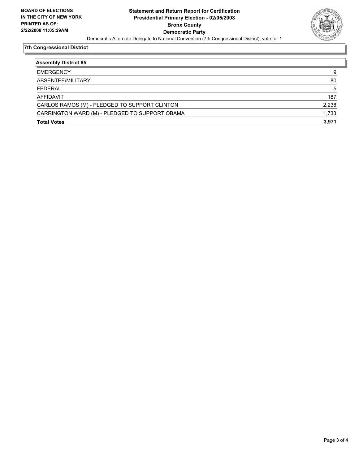

## **7th Congressional District**

| <b>Assembly District 85</b>                    |       |
|------------------------------------------------|-------|
| <b>EMERGENCY</b>                               | 9     |
| ABSENTEE/MILITARY                              | 80    |
| <b>FEDERAL</b>                                 | 5     |
| <b>AFFIDAVIT</b>                               | 187   |
| CARLOS RAMOS (M) - PLEDGED TO SUPPORT CLINTON  | 2,238 |
| CARRINGTON WARD (M) - PLEDGED TO SUPPORT OBAMA | 1,733 |
| <b>Total Votes</b>                             | 3,971 |